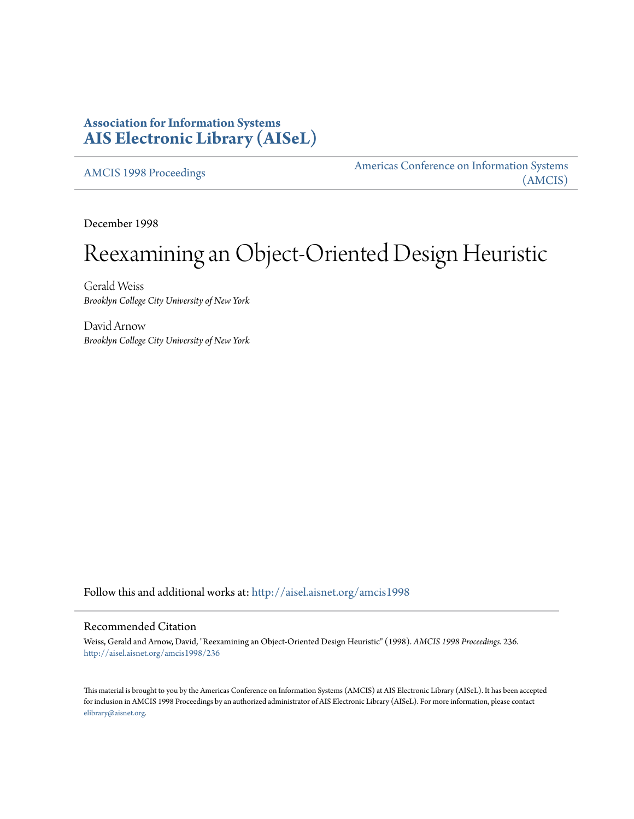# **Association for Information Systems [AIS Electronic Library \(AISeL\)](http://aisel.aisnet.org?utm_source=aisel.aisnet.org%2Famcis1998%2F236&utm_medium=PDF&utm_campaign=PDFCoverPages)**

[AMCIS 1998 Proceedings](http://aisel.aisnet.org/amcis1998?utm_source=aisel.aisnet.org%2Famcis1998%2F236&utm_medium=PDF&utm_campaign=PDFCoverPages)

[Americas Conference on Information Systems](http://aisel.aisnet.org/amcis?utm_source=aisel.aisnet.org%2Famcis1998%2F236&utm_medium=PDF&utm_campaign=PDFCoverPages) [\(AMCIS\)](http://aisel.aisnet.org/amcis?utm_source=aisel.aisnet.org%2Famcis1998%2F236&utm_medium=PDF&utm_campaign=PDFCoverPages)

December 1998

# Reexamining an Object-Oriented Design Heuristic

Gerald Weiss *Brooklyn College City University of New York*

David Arnow *Brooklyn College City University of New York*

Follow this and additional works at: [http://aisel.aisnet.org/amcis1998](http://aisel.aisnet.org/amcis1998?utm_source=aisel.aisnet.org%2Famcis1998%2F236&utm_medium=PDF&utm_campaign=PDFCoverPages)

#### Recommended Citation

Weiss, Gerald and Arnow, David, "Reexamining an Object-Oriented Design Heuristic" (1998). *AMCIS 1998 Proceedings*. 236. [http://aisel.aisnet.org/amcis1998/236](http://aisel.aisnet.org/amcis1998/236?utm_source=aisel.aisnet.org%2Famcis1998%2F236&utm_medium=PDF&utm_campaign=PDFCoverPages)

This material is brought to you by the Americas Conference on Information Systems (AMCIS) at AIS Electronic Library (AISeL). It has been accepted for inclusion in AMCIS 1998 Proceedings by an authorized administrator of AIS Electronic Library (AISeL). For more information, please contact [elibrary@aisnet.org.](mailto:elibrary@aisnet.org%3E)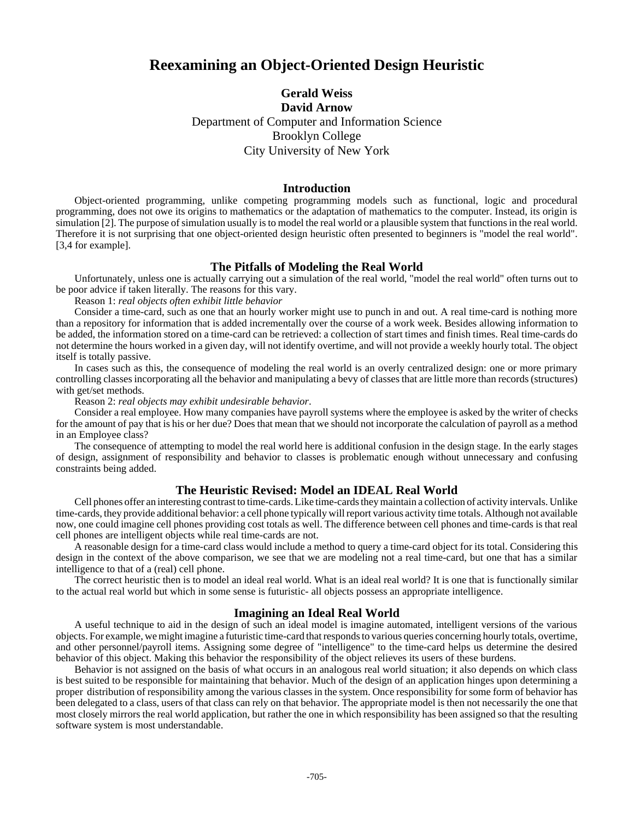## **Reexamining an Object-Oriented Design Heuristic**

### **Gerald Weiss David Arnow** Department of Computer and Information Science Brooklyn College City University of New York

#### **Introduction**

Object-oriented programming, unlike competing programming models such as functional, logic and procedural programming, does not owe its origins to mathematics or the adaptation of mathematics to the computer. Instead, its origin is simulation [2]. The purpose of simulation usually is to model the real world or a plausible system that functions in the real world. Therefore it is not surprising that one object-oriented design heuristic often presented to beginners is "model the real world". [3,4 for example].

#### **The Pitfalls of Modeling the Real World**

Unfortunately, unless one is actually carrying out a simulation of the real world, "model the real world" often turns out to be poor advice if taken literally. The reasons for this vary.

Reason 1: *real objects often exhibit little behavior*

Consider a time-card, such as one that an hourly worker might use to punch in and out. A real time-card is nothing more than a repository for information that is added incrementally over the course of a work week. Besides allowing information to be added, the information stored on a time-card can be retrieved: a collection of start times and finish times. Real time-cards do not determine the hours worked in a given day, will not identify overtime, and will not provide a weekly hourly total. The object itself is totally passive.

In cases such as this, the consequence of modeling the real world is an overly centralized design: one or more primary controlling classes incorporating all the behavior and manipulating a bevy of classes that are little more than records (structures) with get/set methods.

Reason 2: *real objects may exhibit undesirable behavior*.

Consider a real employee. How many companies have payroll systems where the employee is asked by the writer of checks for the amount of pay that is his or her due? Does that mean that we should not incorporate the calculation of payroll as a method in an Employee class?

The consequence of attempting to model the real world here is additional confusion in the design stage. In the early stages of design, assignment of responsibility and behavior to classes is problematic enough without unnecessary and confusing constraints being added.

#### **The Heuristic Revised: Model an IDEAL Real World**

Cell phones offer an interesting contrast to time-cards. Like time-cards they maintain a collection of activity intervals. Unlike time-cards, they provide additional behavior: a cell phone typically will report various activity time totals. Although not available now, one could imagine cell phones providing cost totals as well. The difference between cell phones and time-cards is that real cell phones are intelligent objects while real time-cards are not.

A reasonable design for a time-card class would include a method to query a time-card object for its total. Considering this design in the context of the above comparison, we see that we are modeling not a real time-card, but one that has a similar intelligence to that of a (real) cell phone.

The correct heuristic then is to model an ideal real world. What is an ideal real world? It is one that is functionally similar to the actual real world but which in some sense is futuristic- all objects possess an appropriate intelligence.

#### **Imagining an Ideal Real World**

A useful technique to aid in the design of such an ideal model is imagine automated, intelligent versions of the various objects. For example, we might imagine a futuristic time-card that responds to various queries concerning hourly totals, overtime, and other personnel/payroll items. Assigning some degree of "intelligence" to the time-card helps us determine the desired behavior of this object. Making this behavior the responsibility of the object relieves its users of these burdens.

Behavior is not assigned on the basis of what occurs in an analogous real world situation; it also depends on which class is best suited to be responsible for maintaining that behavior. Much of the design of an application hinges upon determining a proper distribution of responsibility among the various classes in the system. Once responsibility for some form of behavior has been delegated to a class, users of that class can rely on that behavior. The appropriate model is then not necessarily the one that most closely mirrors the real world application, but rather the one in which responsibility has been assigned so that the resulting software system is most understandable.